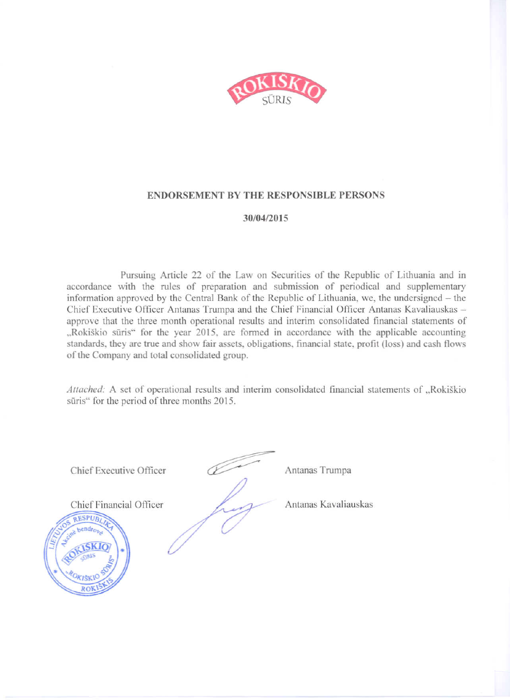

#### **ENDORSEMENT BY THE RESPONSIBLE PERSONS**

#### 30/04/2015

Pursuing Article 22 of the Law on Securities of the Republic of Lithuania and in accordance with the rules of preparation and submission of periodical and supplementary information approved by the Central Bank of the Republic of Lithuania, we, the undersigned – the Chief Executive Officer Antanas Trumpa and the Chief Financial Officer Antanas Kavaliauskas approve that the three month operational results and interim consolidated financial statements of "Rokiškio sūris" for the year 2015, are formed in accordance with the applicable accounting standards, they are true and show fair assets, obligations, financial state, profit (loss) and cash flows of the Company and total consolidated group.

Attached: A set of operational results and interim consolidated financial statements of "Rokiškio sūris" for the period of three months 2015.

Chief Executive Officer

Antanas Trumpa

Chief Financial Officer

Antanas Kavaliauskas

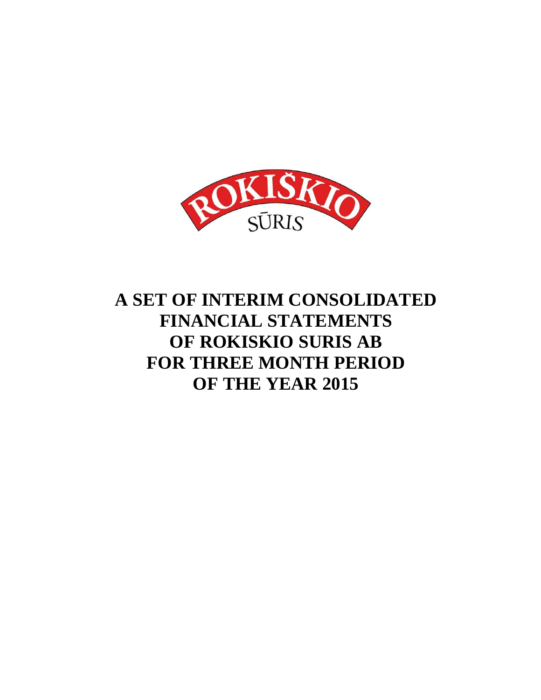

# **A SET OF INTERIM CONSOLIDATED FINANCIAL STATEMENTS OF ROKISKIO SURIS AB FOR THREE MONTH PERIOD OF THE YEAR 2015**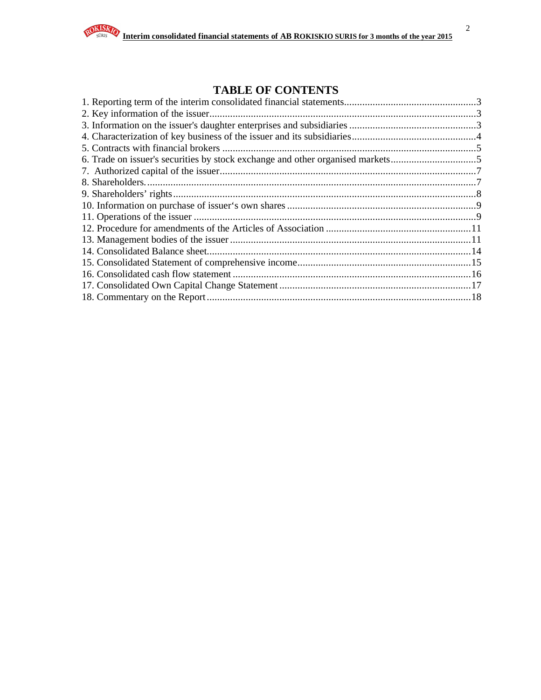2

# **TABLE OF CONTENTS**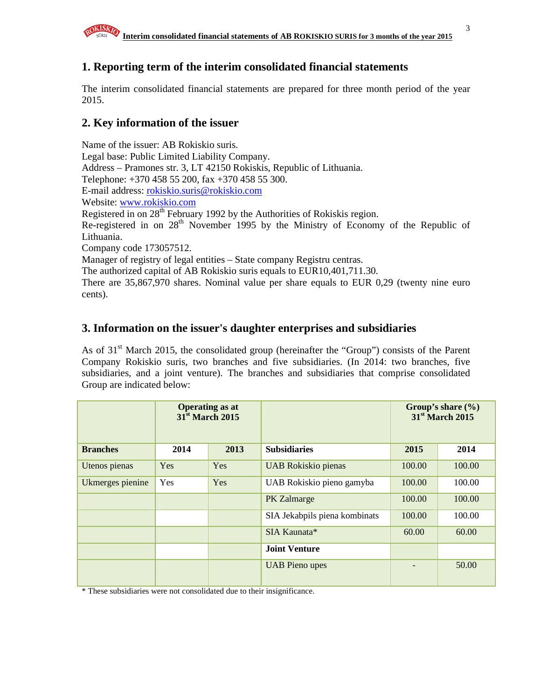# **1. Reporting term of the interim consolidated financial statements**

The interim consolidated financial statements are prepared for three month period of the year 2015.

# **2. Key information of the issuer**

Name of the issuer: AB Rokiskio suris. Legal base: Public Limited Liability Company. Address – Pramones str. 3, LT 42150 Rokiskis, Republic of Lithuania. Telephone: +370 458 55 200, fax +370 458 55 300. E-mail address: rokiskio.suris@rokiskio.com Website: www.rokiskio.com Registered in on 28<sup>th</sup> February 1992 by the Authorities of Rokiskis region. Re-registered in on 28<sup>th</sup> November 1995 by the Ministry of Economy of the Republic of Lithuania. Company code 173057512. Manager of registry of legal entities – State company Registru centras. The authorized capital of AB Rokiskio suris equals to EUR10,401,711.30. There are 35,867,970 shares. Nominal value per share equals to EUR 0,29 (twenty nine euro cents).

## **3. Information on the issuer's daughter enterprises and subsidiaries**

As of  $31<sup>st</sup>$  March 2015, the consolidated group (hereinafter the "Group") consists of the Parent Company Rokiskio suris, two branches and five subsidiaries. (In 2014: two branches, five subsidiaries, and a joint venture). The branches and subsidiaries that comprise consolidated Group are indicated below:

|                  | <b>Operating as at</b><br>31 <sup>st</sup> March 2015 |      |                               |        | Group's share $(\% )$<br>31 <sup>st</sup> March 2015 |
|------------------|-------------------------------------------------------|------|-------------------------------|--------|------------------------------------------------------|
| <b>Branches</b>  | 2014                                                  | 2013 | <b>Subsidiaries</b>           | 2015   | 2014                                                 |
| Utenos pienas    | Yes                                                   | Yes  | <b>UAB</b> Rokiskio pienas    | 100.00 | 100.00                                               |
| Ukmerges pienine | Yes                                                   | Yes  | UAB Rokiskio pieno gamyba     | 100.00 | 100.00                                               |
|                  |                                                       |      | PK Zalmarge                   | 100.00 | 100.00                                               |
|                  |                                                       |      | SIA Jekabpils piena kombinats | 100.00 | 100.00                                               |
|                  |                                                       |      | SIA Kaunata*                  | 60.00  | 60.00                                                |
|                  |                                                       |      | <b>Joint Venture</b>          |        |                                                      |
|                  |                                                       |      | <b>UAB Pieno upes</b>         |        | 50.00                                                |

\* These subsidiaries were not consolidated due to their insignificance.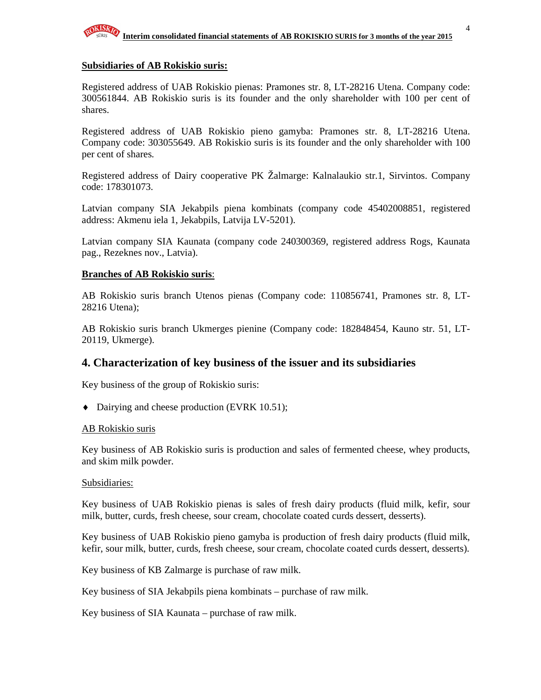

#### **Subsidiaries of AB Rokiskio suris:**

Registered address of UAB Rokiskio pienas: Pramones str. 8, LT-28216 Utena. Company code: 300561844. AB Rokiskio suris is its founder and the only shareholder with 100 per cent of shares.

Registered address of UAB Rokiskio pieno gamyba: Pramones str. 8, LT-28216 Utena. Company code: 303055649. AB Rokiskio suris is its founder and the only shareholder with 100 per cent of shares.

Registered address of Dairy cooperative PK Žalmarge: Kalnalaukio str.1, Sirvintos. Company code: 178301073.

Latvian company SIA Jekabpils piena kombinats (company code 45402008851, registered address: Akmenu iela 1, Jekabpils, Latvija LV-5201).

Latvian company SIA Kaunata (company code 240300369, registered address Rogs, Kaunata pag., Rezeknes nov., Latvia).

#### **Branches of AB Rokiskio suris**:

AB Rokiskio suris branch Utenos pienas (Company code: 110856741, Pramones str. 8, LT-28216 Utena);

AB Rokiskio suris branch Ukmerges pienine (Company code: 182848454, Kauno str. 51, LT-20119, Ukmerge).

#### **4. Characterization of key business of the issuer and its subsidiaries**

Key business of the group of Rokiskio suris:

♦ Dairying and cheese production (EVRK 10.51);

#### AB Rokiskio suris

Key business of AB Rokiskio suris is production and sales of fermented cheese, whey products, and skim milk powder.

#### Subsidiaries:

Key business of UAB Rokiskio pienas is sales of fresh dairy products (fluid milk, kefir, sour milk, butter, curds, fresh cheese, sour cream, chocolate coated curds dessert, desserts).

Key business of UAB Rokiskio pieno gamyba is production of fresh dairy products (fluid milk, kefir, sour milk, butter, curds, fresh cheese, sour cream, chocolate coated curds dessert, desserts).

Key business of KB Zalmarge is purchase of raw milk.

Key business of SIA Jekabpils piena kombinats – purchase of raw milk.

Key business of SIA Kaunata – purchase of raw milk.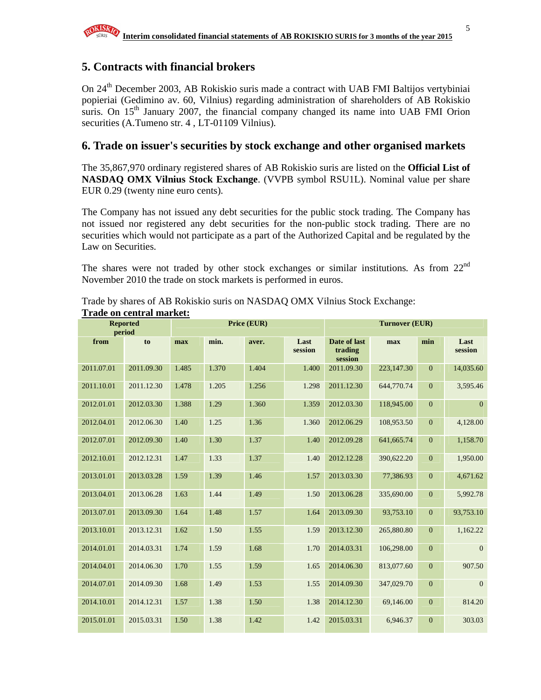## **5. Contracts with financial brokers**

On 24<sup>th</sup> December 2003, AB Rokiskio suris made a contract with UAB FMI Baltijos vertybiniai popieriai (Gedimino av. 60, Vilnius) regarding administration of shareholders of AB Rokiskio suris. On  $15<sup>th</sup>$  January 2007, the financial company changed its name into UAB FMI Orion securities (A.Tumeno str. 4, LT-01109 Vilnius).

### **6. Trade on issuer's securities by stock exchange and other organised markets**

The 35,867,970 ordinary registered shares of AB Rokiskio suris are listed on the **Official List of NASDAQ OMX Vilnius Stock Exchange**. (VVPB symbol RSU1L). Nominal value per share EUR 0.29 (twenty nine euro cents).

The Company has not issued any debt securities for the public stock trading. The Company has not issued nor registered any debt securities for the non-public stock trading. There are no securities which would not participate as a part of the Authorized Capital and be regulated by the Law on Securities.

The shares were not traded by other stock exchanges or similar institutions. As from 22<sup>nd</sup> November 2010 the trade on stock markets is performed in euros.

|            | <b>Reported</b><br>period | Price (EUR) |       |       | <b>Turnover (EUR)</b> |                                    |            |                  |                 |
|------------|---------------------------|-------------|-------|-------|-----------------------|------------------------------------|------------|------------------|-----------------|
| from       | to                        | max         | min.  | aver. | Last<br>session       | Date of last<br>trading<br>session | max        | min              | Last<br>session |
| 2011.07.01 | 2011.09.30                | 1.485       | 1.370 | 1.404 | 1.400                 | 2011.09.30                         | 223,147.30 | $\mathbf{0}$     | 14,035.60       |
| 2011.10.01 | 2011.12.30                | 1.478       | 1.205 | 1.256 | 1.298                 | 2011.12.30                         | 644,770.74 | $\mathbf{0}$     | 3,595.46        |
| 2012.01.01 | 2012.03.30                | 1.388       | 1.29  | 1.360 | 1.359                 | 2012.03.30                         | 118,945.00 | $\mathbf{0}$     | $\overline{0}$  |
| 2012.04.01 | 2012.06.30                | 1.40        | 1.25  | 1.36  | 1.360                 | 2012.06.29                         | 108,953.50 | $\boldsymbol{0}$ | 4,128.00        |
| 2012.07.01 | 2012.09.30                | 1.40        | 1.30  | 1.37  | 1.40                  | 2012.09.28                         | 641,665.74 | $\boldsymbol{0}$ | 1,158.70        |
| 2012.10.01 | 2012.12.31                | 1.47        | 1.33  | 1.37  | 1.40                  | 2012.12.28                         | 390,622.20 | $\boldsymbol{0}$ | 1,950.00        |
| 2013.01.01 | 2013.03.28                | 1.59        | 1.39  | 1.46  | 1.57                  | 2013.03.30                         | 77,386.93  | $\mathbf{0}$     | 4,671.62        |
| 2013.04.01 | 2013.06.28                | 1.63        | 1.44  | 1.49  | 1.50                  | 2013.06.28                         | 335,690.00 | $\mathbf{0}$     | 5,992.78        |
| 2013.07.01 | 2013.09.30                | 1.64        | 1.48  | 1.57  | 1.64                  | 2013.09.30                         | 93,753.10  | $\boldsymbol{0}$ | 93,753.10       |
| 2013.10.01 | 2013.12.31                | 1.62        | 1.50  | 1.55  | 1.59                  | 2013.12.30                         | 265,880.80 | $\boldsymbol{0}$ | 1,162.22        |
| 2014.01.01 | 2014.03.31                | 1.74        | 1.59  | 1.68  | 1.70                  | 2014.03.31                         | 106,298.00 | $\boldsymbol{0}$ | $\mathbf{0}$    |
| 2014.04.01 | 2014.06.30                | 1.70        | 1.55  | 1.59  | 1.65                  | 2014.06.30                         | 813,077.60 | $\mathbf{0}$     | 907.50          |
| 2014.07.01 | 2014.09.30                | 1.68        | 1.49  | 1.53  | 1.55                  | 2014.09.30                         | 347,029.70 | $\boldsymbol{0}$ | $\mathbf{0}$    |
| 2014.10.01 | 2014.12.31                | 1.57        | 1.38  | 1.50  | 1.38                  | 2014.12.30                         | 69,146.00  | $\mathbf{0}$     | 814.20          |
| 2015.01.01 | 2015.03.31                | 1.50        | 1.38  | 1.42  | 1.42                  | 2015.03.31                         | 6,946.37   | $\mathbf{0}$     | 303.03          |

Trade by shares of AB Rokiskio suris on NASDAQ OMX Vilnius Stock Exchange: **Trade on central market:**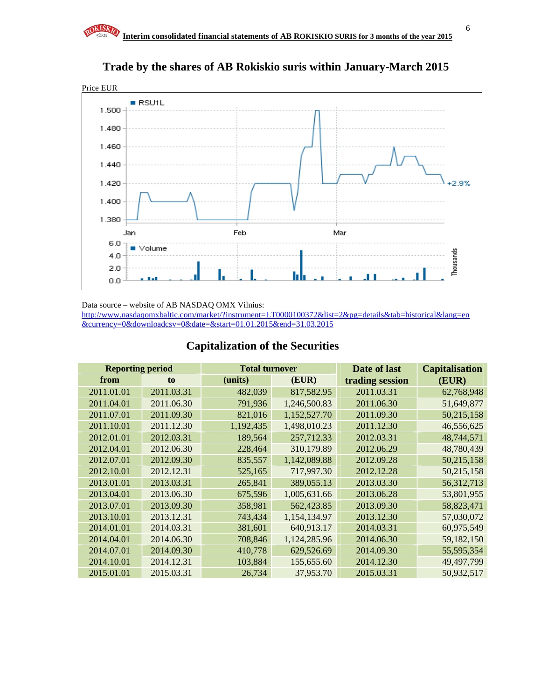

# **Trade by the shares of AB Rokiskio suris within January-March 2015**

Data source – website of AB NASDAQ OMX Vilnius:

http://www.nasdaqomxbaltic.com/market/?instrument=LT0000100372&list=2&pg=details&tab=historical&lang=en &currency=0&downloadcsv=0&date=&start=01.01.2015&end=31.03.2015

## **Capitalization of the Securities**

| <b>Reporting period</b> |            | <b>Total turnover</b> |              | Date of last    | <b>Capitalisation</b> |
|-------------------------|------------|-----------------------|--------------|-----------------|-----------------------|
| from                    | to         | (units)               | (EUR)        | trading session | (EUR)                 |
| 2011.01.01              | 2011.03.31 | 482,039               | 817,582.95   | 2011.03.31      | 62,768,948            |
| 2011.04.01              | 2011.06.30 | 791,936               | 1,246,500.83 | 2011.06.30      | 51,649,877            |
| 2011.07.01              | 2011.09.30 | 821,016               | 1,152,527.70 | 2011.09.30      | 50,215,158            |
| 2011.10.01              | 2011.12.30 | 1,192,435             | 1,498,010.23 | 2011.12.30      | 46,556,625            |
| 2012.01.01              | 2012.03.31 | 189,564               | 257,712.33   | 2012.03.31      | 48,744,571            |
| 2012.04.01              | 2012.06.30 | 228,464               | 310,179.89   | 2012.06.29      | 48,780,439            |
| 2012.07.01              | 2012.09.30 | 835,557               | 1,142,089.88 | 2012.09.28      | 50,215,158            |
| 2012.10.01              | 2012.12.31 | 525,165               | 717,997.30   | 2012.12.28      | 50,215,158            |
| 2013.01.01              | 2013.03.31 | 265,841               | 389,055.13   | 2013.03.30      | 56,312,713            |
| 2013.04.01              | 2013.06.30 | 675,596               | 1,005,631.66 | 2013.06.28      | 53,801,955            |
| 2013.07.01              | 2013.09.30 | 358,981               | 562,423.85   | 2013.09.30      | 58,823,471            |
| 2013.10.01              | 2013.12.31 | 743,434               | 1,154,134.97 | 2013.12.30      | 57,030,072            |
| 2014.01.01              | 2014.03.31 | 381,601               | 640,913.17   | 2014.03.31      | 60,975,549            |
| 2014.04.01              | 2014.06.30 | 708,846               | 1,124,285.96 | 2014.06.30      | 59,182,150            |
| 2014.07.01              | 2014.09.30 | 410,778               | 629,526.69   | 2014.09.30      | 55,595,354            |
| 2014.10.01              | 2014.12.31 | 103,884               | 155,655.60   | 2014.12.30      | 49,497,799            |
| 2015.01.01              | 2015.03.31 | 26,734                | 37,953.70    | 2015.03.31      | 50,932,517            |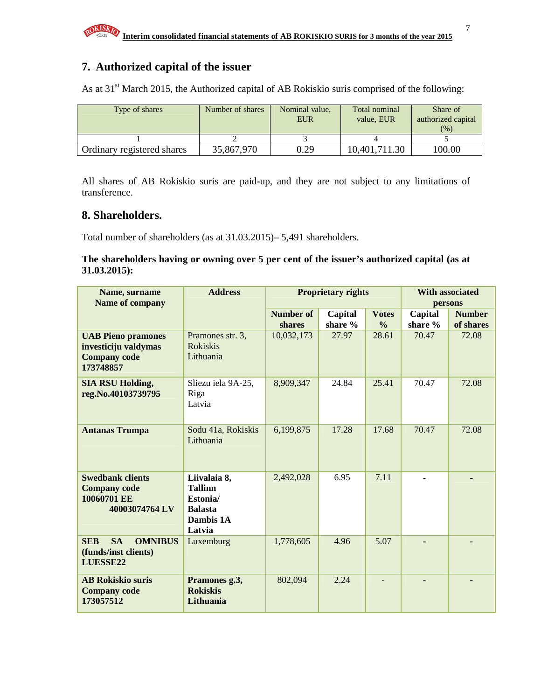# **7. Authorized capital of the issuer**

As at  $31<sup>st</sup>$  March 2015, the Authorized capital of AB Rokiskio suris comprised of the following:

| Type of shares             | Number of shares | Nominal value,<br><b>EUR</b> | Total nominal<br>value. EUR | Share of<br>authorized capital |
|----------------------------|------------------|------------------------------|-----------------------------|--------------------------------|
|                            |                  |                              |                             | (%)                            |
|                            |                  |                              |                             |                                |
| Ordinary registered shares | 35,867,970       | 0.29                         | 10,401,711.30               | 100.00                         |

All shares of AB Rokiskio suris are paid-up, and they are not subject to any limitations of transference.

### **8. Shareholders.**

Total number of shareholders (as at 31.03.2015)– 5,491 shareholders.

#### **The shareholders having or owning over 5 per cent of the issuer's authorized capital (as at 31.03.2015):**

| Name, surname                             | <b>Address</b>      |                  | <b>Proprietary rights</b> | <b>With associated</b> |         |               |  |
|-------------------------------------------|---------------------|------------------|---------------------------|------------------------|---------|---------------|--|
| Name of company                           |                     |                  |                           |                        | persons |               |  |
|                                           |                     | <b>Number of</b> | Capital                   | <b>Votes</b>           | Capital | <b>Number</b> |  |
|                                           |                     | shares           | share %                   | $\frac{0}{0}$          | share % | of shares     |  |
| <b>UAB Pieno pramones</b>                 | Pramones str. 3,    | 10,032,173       | 27.97                     | 28.61                  | 70.47   | 72.08         |  |
| investiciju valdymas                      | Rokiskis            |                  |                           |                        |         |               |  |
| <b>Company code</b>                       | Lithuania           |                  |                           |                        |         |               |  |
| 173748857                                 |                     |                  |                           |                        |         |               |  |
| <b>SIA RSU Holding,</b>                   | Sliezu iela 9A-25,  | 8,909,347        | 24.84                     | 25.41                  | 70.47   | 72.08         |  |
| reg.No.40103739795                        | Riga                |                  |                           |                        |         |               |  |
|                                           | Latvia              |                  |                           |                        |         |               |  |
|                                           |                     |                  |                           |                        |         |               |  |
| <b>Antanas Trumpa</b>                     | Sodu 41a, Rokiskis  | 6,199,875        | 17.28                     | 17.68                  | 70.47   | 72.08         |  |
|                                           | Lithuania           |                  |                           |                        |         |               |  |
|                                           |                     |                  |                           |                        |         |               |  |
|                                           |                     |                  |                           |                        |         |               |  |
| <b>Swedbank clients</b>                   | Liivalaia 8,        | 2,492,028        | 6.95                      | 7.11                   |         |               |  |
| <b>Company code</b>                       | <b>Tallinn</b>      |                  |                           |                        |         |               |  |
| 10060701 EE                               | Estonia/            |                  |                           |                        |         |               |  |
| 40003074764 LV<br><b>Balasta</b>          |                     |                  |                           |                        |         |               |  |
|                                           | Dambis 1A<br>Latvia |                  |                           |                        |         |               |  |
| <b>SA</b><br><b>SEB</b><br><b>OMNIBUS</b> |                     | 1,778,605        | 4.96                      | 5.07                   |         |               |  |
| (funds/inst clients)                      | Luxemburg           |                  |                           |                        | ٠       |               |  |
| LUESSE22                                  |                     |                  |                           |                        |         |               |  |
|                                           |                     |                  |                           |                        |         |               |  |
| <b>AB Rokiskio suris</b>                  | Pramones g.3,       | 802,094          | 2.24                      |                        |         |               |  |
| <b>Company code</b>                       | <b>Rokiskis</b>     |                  |                           |                        |         |               |  |
| 173057512                                 | Lithuania           |                  |                           |                        |         |               |  |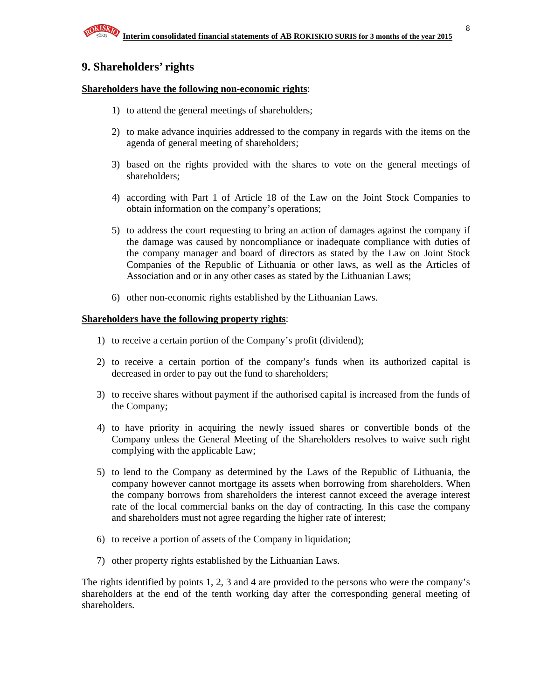### **9. Shareholders' rights**

#### **Shareholders have the following non-economic rights**:

- 1) to attend the general meetings of shareholders;
- 2) to make advance inquiries addressed to the company in regards with the items on the agenda of general meeting of shareholders;
- 3) based on the rights provided with the shares to vote on the general meetings of shareholders;
- 4) according with Part 1 of Article 18 of the Law on the Joint Stock Companies to obtain information on the company's operations;
- 5) to address the court requesting to bring an action of damages against the company if the damage was caused by noncompliance or inadequate compliance with duties of the company manager and board of directors as stated by the Law on Joint Stock Companies of the Republic of Lithuania or other laws, as well as the Articles of Association and or in any other cases as stated by the Lithuanian Laws;
- 6) other non-economic rights established by the Lithuanian Laws.

#### **Shareholders have the following property rights**:

- 1) to receive a certain portion of the Company's profit (dividend);
- 2) to receive a certain portion of the company's funds when its authorized capital is decreased in order to pay out the fund to shareholders;
- 3) to receive shares without payment if the authorised capital is increased from the funds of the Company;
- 4) to have priority in acquiring the newly issued shares or convertible bonds of the Company unless the General Meeting of the Shareholders resolves to waive such right complying with the applicable Law;
- 5) to lend to the Company as determined by the Laws of the Republic of Lithuania, the company however cannot mortgage its assets when borrowing from shareholders. When the company borrows from shareholders the interest cannot exceed the average interest rate of the local commercial banks on the day of contracting. In this case the company and shareholders must not agree regarding the higher rate of interest;
- 6) to receive a portion of assets of the Company in liquidation;
- 7) other property rights established by the Lithuanian Laws.

The rights identified by points 1, 2, 3 and 4 are provided to the persons who were the company's shareholders at the end of the tenth working day after the corresponding general meeting of shareholders.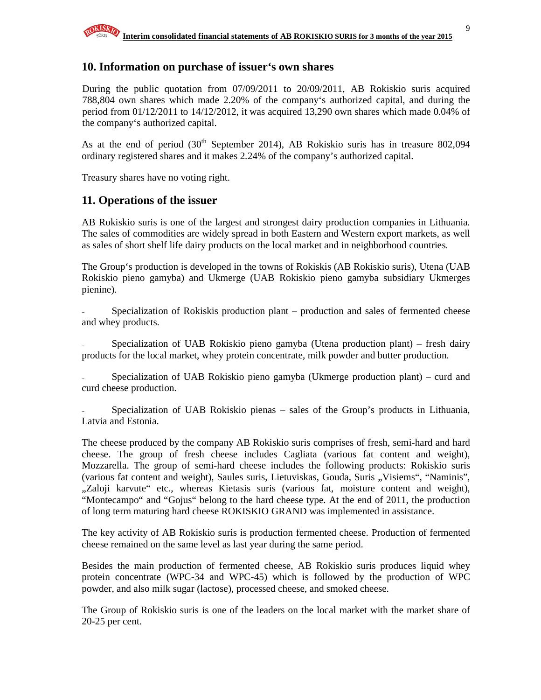### **10. Information on purchase of issuer's own shares**

During the public quotation from 07/09/2011 to 20/09/2011, AB Rokiskio suris acquired 788,804 own shares which made 2.20% of the company's authorized capital, and during the period from 01/12/2011 to 14/12/2012, it was acquired 13,290 own shares which made 0.04% of the company's authorized capital.

As at the end of period  $(30<sup>th</sup>$  September 2014), AB Rokiskio suris has in treasure 802,094 ordinary registered shares and it makes 2.24% of the company's authorized capital.

Treasury shares have no voting right.

## **11. Operations of the issuer**

AB Rokiskio suris is one of the largest and strongest dairy production companies in Lithuania. The sales of commodities are widely spread in both Eastern and Western export markets, as well as sales of short shelf life dairy products on the local market and in neighborhood countries.

The Group's production is developed in the towns of Rokiskis (AB Rokiskio suris), Utena (UAB Rokiskio pieno gamyba) and Ukmerge (UAB Rokiskio pieno gamyba subsidiary Ukmerges pienine).

Specialization of Rokiskis production plant – production and sales of fermented cheese and whey products.

Specialization of UAB Rokiskio pieno gamyba (Utena production plant) – fresh dairy products for the local market, whey protein concentrate, milk powder and butter production.

Specialization of UAB Rokiskio pieno gamyba (Ukmerge production plant) – curd and curd cheese production.

Specialization of UAB Rokiskio pienas – sales of the Group's products in Lithuania, Latvia and Estonia.

The cheese produced by the company AB Rokiskio suris comprises of fresh, semi-hard and hard cheese. The group of fresh cheese includes Cagliata (various fat content and weight), Mozzarella. The group of semi-hard cheese includes the following products: Rokiskio suris (various fat content and weight), Saules suris, Lietuviskas, Gouda, Suris "Visiems", "Naminis", "Zaloji karvute" etc., whereas Kietasis suris (various fat, moisture content and weight), "Montecampo" and "Gojus" belong to the hard cheese type. At the end of 2011, the production of long term maturing hard cheese ROKISKIO GRAND was implemented in assistance.

The key activity of AB Rokiskio suris is production fermented cheese. Production of fermented cheese remained on the same level as last year during the same period.

Besides the main production of fermented cheese, AB Rokiskio suris produces liquid whey protein concentrate (WPC-34 and WPC-45) which is followed by the production of WPC powder, and also milk sugar (lactose), processed cheese, and smoked cheese.

The Group of Rokiskio suris is one of the leaders on the local market with the market share of 20-25 per cent.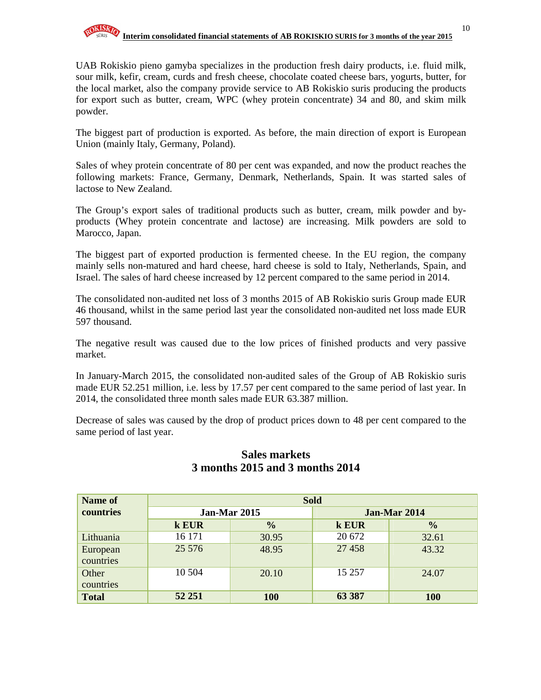UAB Rokiskio pieno gamyba specializes in the production fresh dairy products, i.e. fluid milk, sour milk, kefir, cream, curds and fresh cheese, chocolate coated cheese bars, yogurts, butter, for the local market, also the company provide service to AB Rokiskio suris producing the products for export such as butter, cream, WPC (whey protein concentrate) 34 and 80, and skim milk powder.

The biggest part of production is exported. As before, the main direction of export is European Union (mainly Italy, Germany, Poland).

Sales of whey protein concentrate of 80 per cent was expanded, and now the product reaches the following markets: France, Germany, Denmark, Netherlands, Spain. It was started sales of lactose to New Zealand.

The Group's export sales of traditional products such as butter, cream, milk powder and byproducts (Whey protein concentrate and lactose) are increasing. Milk powders are sold to Marocco, Japan.

The biggest part of exported production is fermented cheese. In the EU region, the company mainly sells non-matured and hard cheese, hard cheese is sold to Italy, Netherlands, Spain, and Israel. The sales of hard cheese increased by 12 percent compared to the same period in 2014.

The consolidated non-audited net loss of 3 months 2015 of AB Rokiskio suris Group made EUR 46 thousand, whilst in the same period last year the consolidated non-audited net loss made EUR 597 thousand.

The negative result was caused due to the low prices of finished products and very passive market.

In January-March 2015, the consolidated non-audited sales of the Group of AB Rokiskio suris made EUR 52.251 million, i.e. less by 17.57 per cent compared to the same period of last year. In 2014, the consolidated three month sales made EUR 63.387 million.

Decrease of sales was caused by the drop of product prices down to 48 per cent compared to the same period of last year.

| Name of      | <b>Sold</b>  |               |        |                     |  |  |  |
|--------------|--------------|---------------|--------|---------------------|--|--|--|
| countries    | Jan-Mar 2015 |               |        | <b>Jan-Mar 2014</b> |  |  |  |
|              | k EUR        | $\frac{0}{0}$ | k EUR  | $\frac{0}{0}$       |  |  |  |
| Lithuania    | 16 171       | 30.95         | 20 672 | 32.61               |  |  |  |
| European     | 25 576       | 48.95         | 27 458 | 43.32               |  |  |  |
| countries    |              |               |        |                     |  |  |  |
| Other        | 10 504       | 20.10         | 15 257 | 24.07               |  |  |  |
| countries    |              |               |        |                     |  |  |  |
| <b>Total</b> | 52 251       | <b>100</b>    | 63 387 | 100                 |  |  |  |

## **Sales markets 3 months 2015 and 3 months 2014**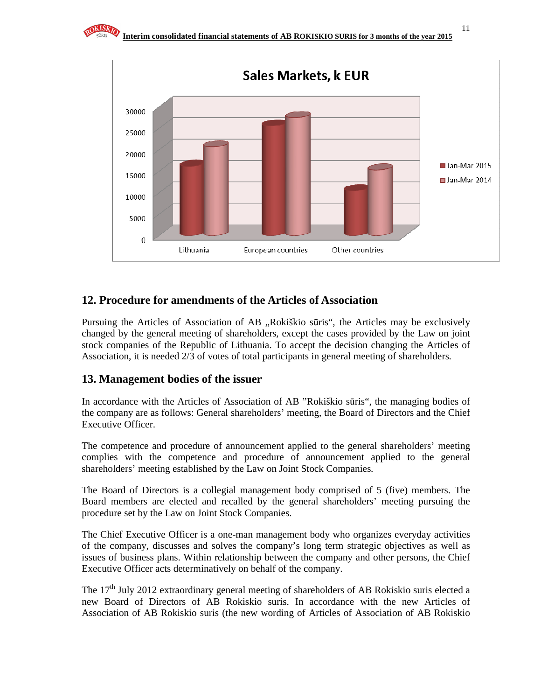

# **12. Procedure for amendments of the Articles of Association**

Pursuing the Articles of Association of AB "Rokiškio sūris", the Articles may be exclusively changed by the general meeting of shareholders, except the cases provided by the Law on joint stock companies of the Republic of Lithuania. To accept the decision changing the Articles of Association, it is needed 2/3 of votes of total participants in general meeting of shareholders.

## **13. Management bodies of the issuer**

In accordance with the Articles of Association of AB "Rokiškio sūris", the managing bodies of the company are as follows: General shareholders' meeting, the Board of Directors and the Chief Executive Officer.

The competence and procedure of announcement applied to the general shareholders' meeting complies with the competence and procedure of announcement applied to the general shareholders' meeting established by the Law on Joint Stock Companies.

The Board of Directors is a collegial management body comprised of 5 (five) members. The Board members are elected and recalled by the general shareholders' meeting pursuing the procedure set by the Law on Joint Stock Companies.

The Chief Executive Officer is a one-man management body who organizes everyday activities of the company, discusses and solves the company's long term strategic objectives as well as issues of business plans. Within relationship between the company and other persons, the Chief Executive Officer acts determinatively on behalf of the company.

The 17<sup>th</sup> July 2012 extraordinary general meeting of shareholders of AB Rokiskio suris elected a new Board of Directors of AB Rokiskio suris. In accordance with the new Articles of Association of AB Rokiskio suris (the new wording of Articles of Association of AB Rokiskio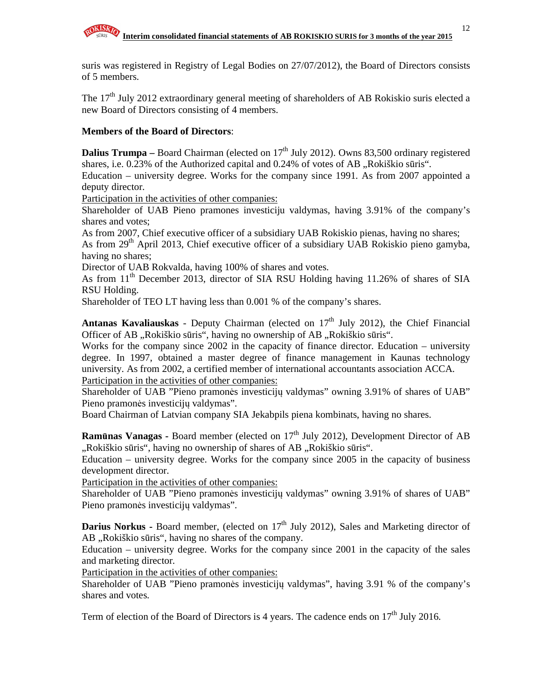suris was registered in Registry of Legal Bodies on 27/07/2012), the Board of Directors consists of 5 members.

The  $17<sup>th</sup>$  July 2012 extraordinary general meeting of shareholders of AB Rokiskio suris elected a new Board of Directors consisting of 4 members.

#### **Members of the Board of Directors**:

**Dalius Trumpa** – Board Chairman (elected on 17<sup>th</sup> July 2012). Owns 83,500 ordinary registered shares, i.e.  $0.23\%$  of the Authorized capital and  $0.24\%$  of votes of AB "Rokiškio sūris".

Education – university degree. Works for the company since 1991. As from 2007 appointed a deputy director.

Participation in the activities of other companies:

Shareholder of UAB Pieno pramones investiciju valdymas, having 3.91% of the company's shares and votes;

As from 2007, Chief executive officer of a subsidiary UAB Rokiskio pienas, having no shares;

As from 29<sup>th</sup> April 2013, Chief executive officer of a subsidiary UAB Rokiskio pieno gamyba, having no shares;

Director of UAB Rokvalda, having 100% of shares and votes.

As from  $11<sup>th</sup>$  December 2013, director of SIA RSU Holding having 11.26% of shares of SIA RSU Holding.

Shareholder of TEO LT having less than 0.001 % of the company's shares.

**Antanas Kavaliauskas** - Deputy Chairman (elected on 17<sup>th</sup> July 2012), the Chief Financial Officer of AB "Rokiškio sūris", having no ownership of AB "Rokiškio sūris".

Works for the company since 2002 in the capacity of finance director. Education – university degree. In 1997, obtained a master degree of finance management in Kaunas technology university. As from 2002, a certified member of international accountants association ACCA. Participation in the activities of other companies:

Shareholder of UAB "Pieno pramonės investicijų valdymas" owning 3.91% of shares of UAB" Pieno pramonės investicijų valdymas".

Board Chairman of Latvian company SIA Jekabpils piena kombinats, having no shares.

**Ramūnas Vanagas - Board member (elected on 17<sup>th</sup> July 2012), Development Director of AB** "Rokiškio sūris", having no ownership of shares of AB "Rokiškio sūris.

Education – university degree. Works for the company since 2005 in the capacity of business development director.

Participation in the activities of other companies:

Shareholder of UAB "Pieno pramonės investicijų valdymas" owning 3.91% of shares of UAB" Pieno pramonės investicijų valdymas".

**Darius Norkus - Board member, (elected on 17<sup>th</sup> July 2012), Sales and Marketing director of** AB "Rokiškio sūris", having no shares of the company.

Education – university degree. Works for the company since 2001 in the capacity of the sales and marketing director.

Participation in the activities of other companies:

Shareholder of UAB "Pieno pramonės investicijų valdymas", having 3.91 % of the company's shares and votes.

Term of election of the Board of Directors is 4 years. The cadence ends on  $17<sup>th</sup>$  July 2016.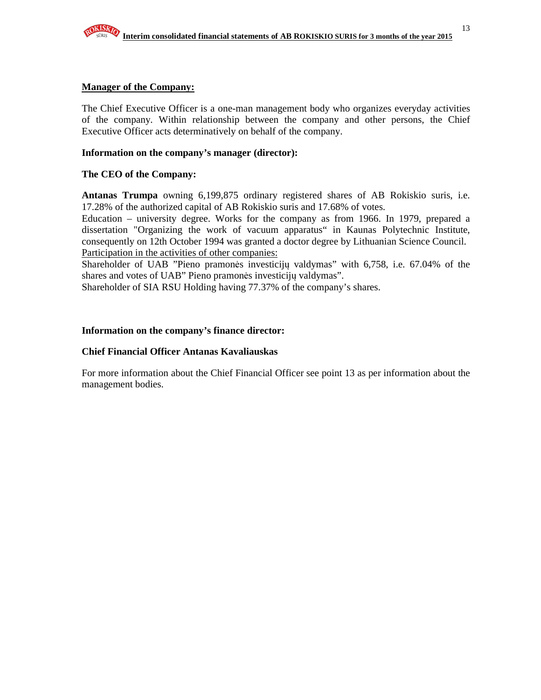#### **Manager of the Company:**

The Chief Executive Officer is a one-man management body who organizes everyday activities of the company. Within relationship between the company and other persons, the Chief Executive Officer acts determinatively on behalf of the company.

#### **Information on the company's manager (director):**

#### **The CEO of the Company:**

**Antanas Trumpa** owning 6,199,875 ordinary registered shares of AB Rokiskio suris, i.e. 17.28% of the authorized capital of AB Rokiskio suris and 17.68% of votes.

Education – university degree. Works for the company as from 1966. In 1979, prepared a dissertation "Organizing the work of vacuum apparatus" in Kaunas Polytechnic Institute, consequently on 12th October 1994 was granted a doctor degree by Lithuanian Science Council. Participation in the activities of other companies:

Shareholder of UAB "Pieno pramonės investicijų valdymas" with 6,758, i.e. 67.04% of the shares and votes of UAB" Pieno pramonės investicijų valdymas".

Shareholder of SIA RSU Holding having 77.37% of the company's shares.

#### **Information on the company's finance director:**

#### **Chief Financial Officer Antanas Kavaliauskas**

For more information about the Chief Financial Officer see point 13 as per information about the management bodies.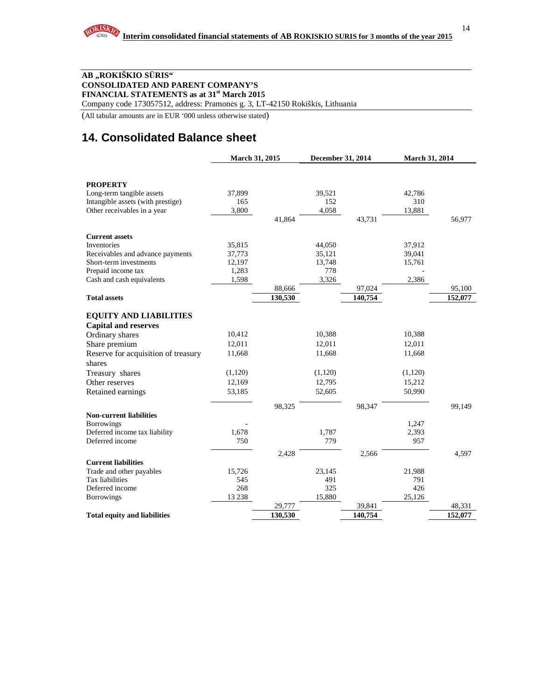#### **AB "ROKIŠKIO S**Ū**RIS" CONSOLIDATED AND PARENT COMPANY'S FINANCIAL STATEMENTS as at 31st March 2015**

Company code 173057512, address: Pramonės g. 3, LT-42150 Rokiškis, Lithuania

(All tabular amounts are in EUR '000 unless otherwise stated)

# **14. Consolidated Balance sheet**

|                                                                | March 31, 2015 |         | December 31, 2014 |         | <b>March 31, 2014</b> |         |
|----------------------------------------------------------------|----------------|---------|-------------------|---------|-----------------------|---------|
|                                                                |                |         |                   |         |                       |         |
|                                                                |                |         |                   |         |                       |         |
| <b>PROPERTY</b>                                                |                |         |                   |         |                       |         |
| Long-term tangible assets<br>Intangible assets (with prestige) | 37,899<br>165  |         | 39,521<br>152     |         | 42,786<br>310         |         |
|                                                                | 3,800          |         | 4,058             |         | 13,881                |         |
| Other receivables in a year                                    |                | 41.864  |                   | 43,731  |                       | 56,977  |
|                                                                |                |         |                   |         |                       |         |
| <b>Current assets</b>                                          |                |         |                   |         |                       |         |
| Inventories                                                    | 35,815         |         | 44,050            |         | 37,912                |         |
| Receivables and advance payments                               | 37,773         |         | 35,121            |         | 39,041                |         |
| Short-term investments                                         | 12,197         |         | 13,748            |         | 15,761                |         |
| Prepaid income tax                                             | 1,283          |         | 778               |         |                       |         |
| Cash and cash equivalents                                      | 1,598          |         | 3,326             |         | 2,386                 |         |
|                                                                |                | 88,666  |                   | 97,024  |                       | 95,100  |
| <b>Total assets</b>                                            |                | 130,530 |                   | 140,754 |                       | 152,077 |
|                                                                |                |         |                   |         |                       |         |
| <b>EQUITY AND LIABILITIES</b>                                  |                |         |                   |         |                       |         |
| <b>Capital and reserves</b>                                    |                |         |                   |         |                       |         |
| Ordinary shares                                                | 10,412         |         | 10,388            |         | 10,388                |         |
| Share premium                                                  | 12,011         |         | 12,011            |         | 12,011                |         |
| Reserve for acquisition of treasury                            | 11,668         |         | 11,668            |         | 11,668                |         |
| shares                                                         |                |         |                   |         |                       |         |
| Treasury shares                                                | (1,120)        |         | (1,120)           |         | (1,120)               |         |
| Other reserves                                                 | 12,169         |         | 12,795            |         | 15,212                |         |
| Retained earnings                                              | 53,185         |         | 52,605            |         | 50,990                |         |
|                                                                |                | 98,325  |                   | 98,347  |                       | 99,149  |
| <b>Non-current liabilities</b>                                 |                |         |                   |         |                       |         |
| <b>Borrowings</b>                                              |                |         |                   |         | 1,247                 |         |
| Deferred income tax liability                                  | 1,678          |         | 1,787             |         | 2,393                 |         |
| Deferred income                                                | 750            |         | 779               |         | 957                   |         |
|                                                                |                | 2,428   |                   | 2,566   |                       | 4,597   |
| <b>Current liabilities</b>                                     |                |         |                   |         |                       |         |
| Trade and other payables                                       | 15,726         |         | 23,145            |         | 21,988                |         |
| Tax liabilities                                                | 545            |         | 491               |         | 791                   |         |
| Deferred income                                                | 268            |         | 325               |         | 426                   |         |
| <b>Borrowings</b>                                              | 13 2 38        |         | 15,880            |         | 25,126                |         |
|                                                                |                | 29,777  |                   | 39,841  |                       | 48,331  |
| <b>Total equity and liabilities</b>                            |                | 130,530 |                   | 140,754 |                       | 152,077 |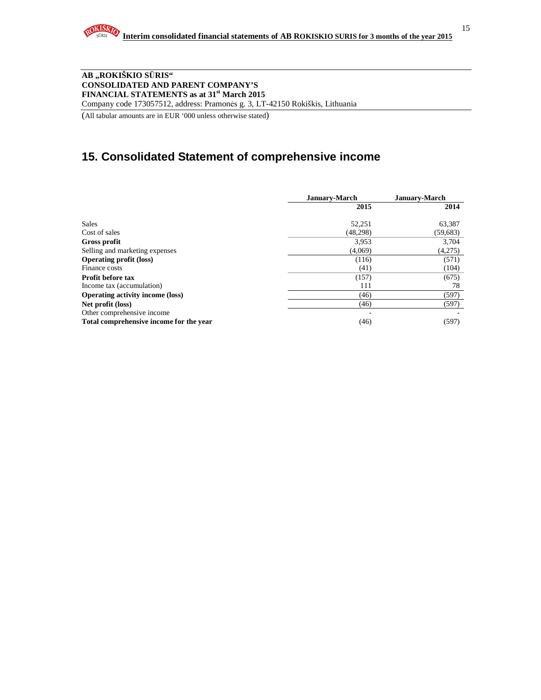

#### **AB "ROKIŠKIO S**Ū**RIS" CONSOLIDATED AND PARENT COMPANY'S FINANCIAL STATEMENTS as at 31st March 2015**  Company code 173057512, address: Pramonės g. 3, LT-42150 Rokiškis, Lithuania

(All tabular amounts are in EUR '000 unless otherwise stated)

# **15. Consolidated Statement of comprehensive income**

|                                         | <b>January-March</b> | <b>January-March</b> |
|-----------------------------------------|----------------------|----------------------|
|                                         | 2015                 | 2014                 |
| <b>Sales</b>                            | 52,251               | 63,387               |
| Cost of sales                           | (48, 298)            | (59, 683)            |
| Gross profit                            | 3,953                | 3,704                |
| Selling and marketing expenses          | (4,069)              | (4,275)              |
| <b>Operating profit (loss)</b>          | (116)                | (571)                |
| Finance costs                           | (41)                 | (104)                |
| <b>Profit before tax</b>                | (157)                | (675)                |
| Income tax (accumulation)               | 111                  | 78                   |
| <b>Operating activity income (loss)</b> | (46)                 | (597)                |
| Net profit (loss)                       | (46)                 | (597)                |
| Other comprehensive income              |                      |                      |
| Total comprehensive income for the year | (46)                 | (597)                |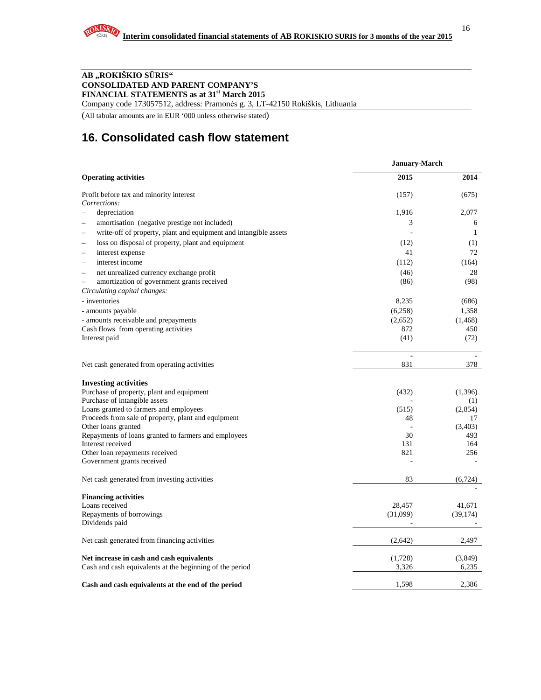#### **AB "ROKIŠKIO S**Ū**RIS" CONSOLIDATED AND PARENT COMPANY'S FINANCIAL STATEMENTS as at 31st March 2015**

Company code 173057512, address: Pramonės g. 3, LT-42150 Rokiškis, Lithuania

(All tabular amounts are in EUR '000 unless otherwise stated)

# **16. Consolidated cash flow statement**

|                                                                  | January-March |                          |
|------------------------------------------------------------------|---------------|--------------------------|
| <b>Operating activities</b>                                      | 2015          | 2014                     |
| Profit before tax and minority interest                          | (157)         | (675)                    |
| Corrections:                                                     |               |                          |
| depreciation                                                     | 1,916         | 2,077                    |
| amortisation (negative prestige not included)                    | 3             | 6                        |
| write-off of property, plant and equipment and intangible assets |               | $\mathbf{1}$             |
| loss on disposal of property, plant and equipment                | (12)          | (1)                      |
| interest expense                                                 | 41            | 72                       |
| interest income                                                  | (112)         | (164)                    |
| net unrealized currency exchange profit                          | (46)          | 28                       |
| amortization of government grants received                       | (86)          | (98)                     |
| Circulating capital changes:                                     |               |                          |
| - inventories                                                    | 8,235         | (686)                    |
| - amounts payable                                                | (6,258)       | 1,358                    |
| - amounts receivable and prepayments                             | (2,652)       | (1, 468)                 |
| Cash flows from operating activities                             | 872           | 450                      |
| Interest paid                                                    | (41)          | (72)                     |
| Net cash generated from operating activities                     | L,<br>831     | 378                      |
|                                                                  |               |                          |
| <b>Investing activities</b>                                      |               |                          |
| Purchase of property, plant and equipment                        | (432)         | (1,396)                  |
| Purchase of intangible assets                                    |               | (1)                      |
| Loans granted to farmers and employees                           | (515)         | (2,854)                  |
| Proceeds from sale of property, plant and equipment              | 48            | 17                       |
| Other loans granted                                              | ÷,            | (3,403)                  |
| Repayments of loans granted to farmers and employees             | 30            | 493                      |
| Interest received                                                | 131           | 164                      |
| Other loan repayments received                                   | 821           | 256                      |
| Government grants received                                       | ä,            | $\overline{\phantom{a}}$ |
| Net cash generated from investing activities                     | 83            | (6, 724)                 |
| <b>Financing activities</b>                                      |               |                          |
| Loans received                                                   | 28,457        | 41.671                   |
| Repayments of borrowings                                         | (31,099)      | (39, 174)                |
| Dividends paid                                                   |               |                          |
| Net cash generated from financing activities                     | (2,642)       | 2,497                    |
| Net increase in cash and cash equivalents                        | (1,728)       | (3,849)                  |
| Cash and cash equivalents at the beginning of the period         | 3,326         | 6,235                    |
| Cash and cash equivalents at the end of the period               | 1,598         | 2,386                    |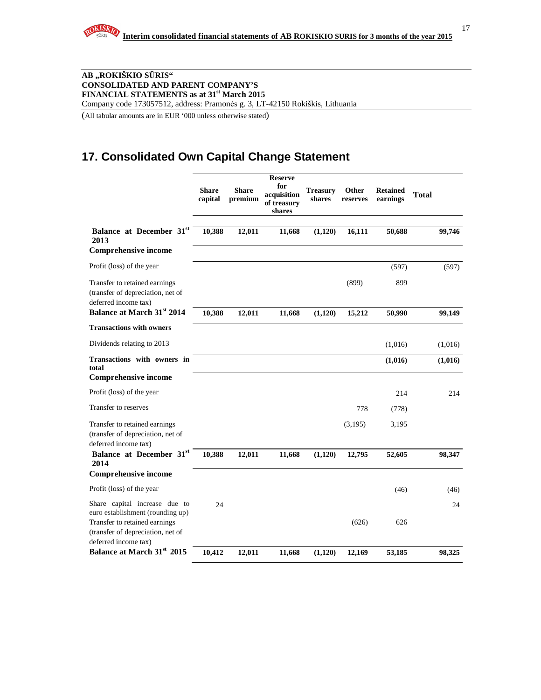

#### **AB "ROKIŠKIO S**Ū**RIS" CONSOLIDATED AND PARENT COMPANY'S FINANCIAL STATEMENTS as at 31st March 2015**  Company code 173057512, address: Pramonės g. 3, LT-42150 Rokiškis, Lithuania

(All tabular amounts are in EUR '000 unless otherwise stated)

# **17. Consolidated Own Capital Change Statement**

|                                                                                            | <b>Share</b><br>capital | <b>Share</b><br>premium | <b>Reserve</b><br>for<br>acquisition<br>of treasury<br>shares | <b>Treasury</b><br>shares | Other<br>reserves | <b>Retained</b><br>earnings | <b>Total</b> |
|--------------------------------------------------------------------------------------------|-------------------------|-------------------------|---------------------------------------------------------------|---------------------------|-------------------|-----------------------------|--------------|
| Balance at December 31st<br>2013<br><b>Comprehensive income</b>                            | 10,388                  | 12,011                  | 11,668                                                        | (1,120)                   | 16,111            | 50,688                      | 99,746       |
| Profit (loss) of the year                                                                  |                         |                         |                                                               |                           |                   | (597)                       | (597)        |
| Transfer to retained earnings<br>(transfer of depreciation, net of<br>deferred income tax) |                         |                         |                                                               |                           | (899)             | 899                         |              |
| Balance at March 31 <sup>st</sup> 2014                                                     | 10,388                  | 12,011                  | 11,668                                                        | (1,120)                   | 15,212            | 50,990                      | 99,149       |
| <b>Transactions with owners</b>                                                            |                         |                         |                                                               |                           |                   |                             |              |
| Dividends relating to 2013                                                                 |                         |                         |                                                               |                           |                   | (1,016)                     | (1,016)      |
| <b>Transactions with owners in</b><br>total<br><b>Comprehensive income</b>                 |                         |                         |                                                               |                           |                   | (1,016)                     | (1,016)      |
| Profit (loss) of the year                                                                  |                         |                         |                                                               |                           |                   | 214                         | 214          |
| Transfer to reserves                                                                       |                         |                         |                                                               |                           | 778               | (778)                       |              |
| Transfer to retained earnings<br>(transfer of depreciation, net of<br>deferred income tax) |                         |                         |                                                               |                           | (3,195)           | 3,195                       |              |
| Balance at December 31st<br>2014                                                           | 10,388                  | 12,011                  | 11,668                                                        | (1,120)                   | 12,795            | 52,605                      | 98,347       |
| <b>Comprehensive income</b>                                                                |                         |                         |                                                               |                           |                   |                             |              |
| Profit (loss) of the year                                                                  |                         |                         |                                                               |                           |                   | (46)                        | (46)         |
| Share capital increase due to<br>euro establishment (rounding up)                          | 24                      |                         |                                                               |                           |                   |                             | 24           |
| Transfer to retained earnings<br>(transfer of depreciation, net of<br>deferred income tax) |                         |                         |                                                               |                           | (626)             | 626                         |              |
| Balance at March 31 <sup>st</sup> 2015                                                     | 10,412                  | 12,011                  | 11,668                                                        | (1, 120)                  | 12,169            | 53,185                      | 98,325       |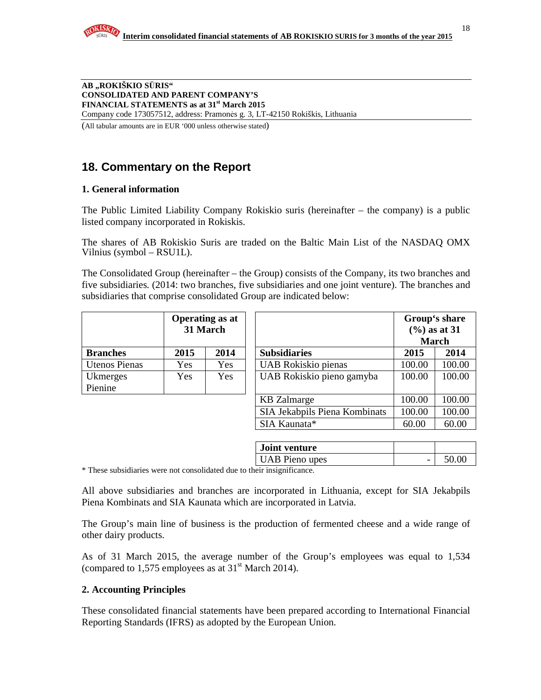**AB "ROKIŠKIO S**Ū**RIS" CONSOLIDATED AND PARENT COMPANY'S FINANCIAL STATEMENTS as at 31st March 2015**  Company code 173057512, address: Pramonės g. 3, LT-42150 Rokiškis, Lithuania

(All tabular amounts are in EUR '000 unless otherwise stated)

# **18. Commentary on the Report**

#### **1. General information**

The Public Limited Liability Company Rokiskio suris (hereinafter – the company) is a public listed company incorporated in Rokiskis.

The shares of AB Rokiskio Suris are traded on the Baltic Main List of the NASDAQ OMX Vilnius (symbol – RSU1L).

The Consolidated Group (hereinafter – the Group) consists of the Company, its two branches and five subsidiaries. (2014: two branches, five subsidiaries and one joint venture). The branches and subsidiaries that comprise consolidated Group are indicated below:

|                 | <b>Operating as at</b><br>31 March |      |  |  |
|-----------------|------------------------------------|------|--|--|
| <b>Branches</b> | 2015                               | 2014 |  |  |
| Utenos Pienas   | Yes                                | Yes  |  |  |
| Ukmerges        | Yes                                | Yes  |  |  |
| Pienine         |                                    |      |  |  |

|                      | <b>Operating as at</b><br>31 March |            |                               | Group's share<br>$(% )$ as at 31<br><b>March</b> |        |
|----------------------|------------------------------------|------------|-------------------------------|--------------------------------------------------|--------|
| <b>Branches</b>      | 2015                               | 2014       | <b>Subsidiaries</b>           | 2015                                             | 2014   |
| <b>Utenos Pienas</b> | Yes                                | Yes        | UAB Rokiskio pienas           | 100.00                                           | 100.00 |
| Ukmerges             | Yes                                | <b>Yes</b> | UAB Rokiskio pieno gamyba     | 100.00                                           | 100.00 |
| Pienine              |                                    |            |                               |                                                  |        |
|                      |                                    |            | <b>KB</b> Zalmarge            | 100.00                                           | 100.00 |
|                      |                                    |            | SIA Jekabpils Piena Kombinats | 100.00                                           | 100.00 |
|                      |                                    |            | SIA Kaunata*                  | 60.00                                            | 60.00  |

|                                                    | Joint venture         |        |       |
|----------------------------------------------------|-----------------------|--------|-------|
|                                                    | <b>UAB</b> Pieno upes | $\sim$ | 50.00 |
| $\cdots$<br>$\mathbf{a}$ . The set of $\mathbf{a}$ | .                     |        |       |

\* These subsidiaries were not consolidated due to their insignificance.

All above subsidiaries and branches are incorporated in Lithuania, except for SIA Jekabpils Piena Kombinats and SIA Kaunata which are incorporated in Latvia.

The Group's main line of business is the production of fermented cheese and a wide range of other dairy products.

As of 31 March 2015, the average number of the Group's employees was equal to 1,534 (compared to 1,575 employees as at  $31<sup>st</sup>$  March 2014).

#### **2. Accounting Principles**

These consolidated financial statements have been prepared according to International Financial Reporting Standards (IFRS) as adopted by the European Union.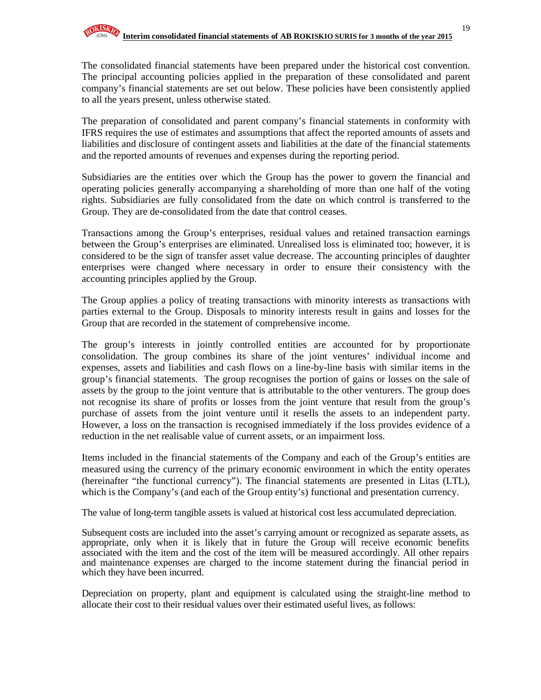The consolidated financial statements have been prepared under the historical cost convention. The principal accounting policies applied in the preparation of these consolidated and parent company's financial statements are set out below. These policies have been consistently applied to all the years present, unless otherwise stated.

The preparation of consolidated and parent company's financial statements in conformity with IFRS requires the use of estimates and assumptions that affect the reported amounts of assets and liabilities and disclosure of contingent assets and liabilities at the date of the financial statements and the reported amounts of revenues and expenses during the reporting period.

Subsidiaries are the entities over which the Group has the power to govern the financial and operating policies generally accompanying a shareholding of more than one half of the voting rights. Subsidiaries are fully consolidated from the date on which control is transferred to the Group. They are de-consolidated from the date that control ceases.

Transactions among the Group's enterprises, residual values and retained transaction earnings between the Group's enterprises are eliminated. Unrealised loss is eliminated too; however, it is considered to be the sign of transfer asset value decrease. The accounting principles of daughter enterprises were changed where necessary in order to ensure their consistency with the accounting principles applied by the Group.

The Group applies a policy of treating transactions with minority interests as transactions with parties external to the Group. Disposals to minority interests result in gains and losses for the Group that are recorded in the statement of comprehensive income.

The group's interests in jointly controlled entities are accounted for by proportionate consolidation. The group combines its share of the joint ventures' individual income and expenses, assets and liabilities and cash flows on a line-by-line basis with similar items in the group's financial statements. The group recognises the portion of gains or losses on the sale of assets by the group to the joint venture that is attributable to the other venturers. The group does not recognise its share of profits or losses from the joint venture that result from the group's purchase of assets from the joint venture until it resells the assets to an independent party. However, a loss on the transaction is recognised immediately if the loss provides evidence of a reduction in the net realisable value of current assets, or an impairment loss.

Items included in the financial statements of the Company and each of the Group's entities are measured using the currency of the primary economic environment in which the entity operates (hereinafter "the functional currency"). The financial statements are presented in Litas (LTL), which is the Company's (and each of the Group entity's) functional and presentation currency.

The value of long-term tangible assets is valued at historical cost less accumulated depreciation.

Subsequent costs are included into the asset's carrying amount or recognized as separate assets, as appropriate, only when it is likely that in future the Group will receive economic benefits associated with the item and the cost of the item will be measured accordingly. All other repairs and maintenance expenses are charged to the income statement during the financial period in which they have been incurred.

Depreciation on property, plant and equipment is calculated using the straight-line method to allocate their cost to their residual values over their estimated useful lives, as follows: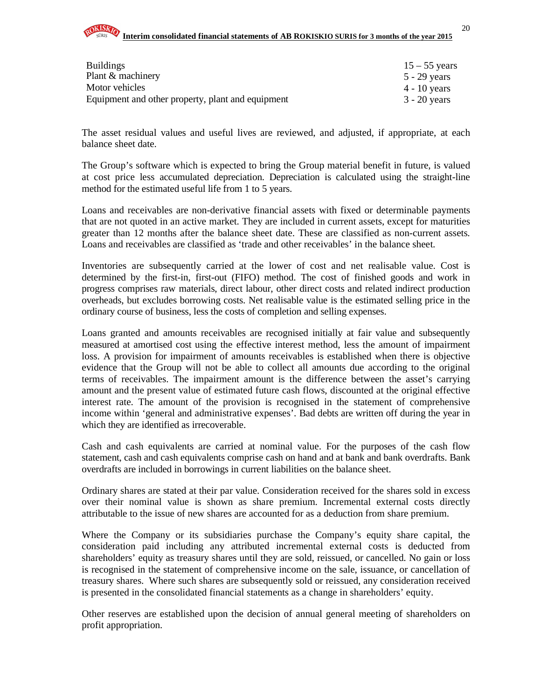

#### **Interim consolidated financial statements of AB ROKISKIO SURIS for 3 months of the year 2015**

| <b>Buildings</b>                                  | $15 - 55$ years |
|---------------------------------------------------|-----------------|
| Plant & machinery                                 | 5 - 29 years    |
| Motor vehicles                                    | 4 - 10 years    |
| Equipment and other property, plant and equipment | $3 - 20$ years  |

The asset residual values and useful lives are reviewed, and adjusted, if appropriate, at each balance sheet date.

The Group's software which is expected to bring the Group material benefit in future, is valued at cost price less accumulated depreciation. Depreciation is calculated using the straight-line method for the estimated useful life from 1 to 5 years.

Loans and receivables are non-derivative financial assets with fixed or determinable payments that are not quoted in an active market. They are included in current assets, except for maturities greater than 12 months after the balance sheet date. These are classified as non-current assets. Loans and receivables are classified as 'trade and other receivables' in the balance sheet.

Inventories are subsequently carried at the lower of cost and net realisable value. Cost is determined by the first-in, first-out (FIFO) method. The cost of finished goods and work in progress comprises raw materials, direct labour, other direct costs and related indirect production overheads, but excludes borrowing costs. Net realisable value is the estimated selling price in the ordinary course of business, less the costs of completion and selling expenses.

Loans granted and amounts receivables are recognised initially at fair value and subsequently measured at amortised cost using the effective interest method, less the amount of impairment loss. A provision for impairment of amounts receivables is established when there is objective evidence that the Group will not be able to collect all amounts due according to the original terms of receivables. The impairment amount is the difference between the asset's carrying amount and the present value of estimated future cash flows, discounted at the original effective interest rate. The amount of the provision is recognised in the statement of comprehensive income within 'general and administrative expenses'. Bad debts are written off during the year in which they are identified as irrecoverable.

Cash and cash equivalents are carried at nominal value. For the purposes of the cash flow statement, cash and cash equivalents comprise cash on hand and at bank and bank overdrafts. Bank overdrafts are included in borrowings in current liabilities on the balance sheet.

Ordinary shares are stated at their par value. Consideration received for the shares sold in excess over their nominal value is shown as share premium. Incremental external costs directly attributable to the issue of new shares are accounted for as a deduction from share premium.

Where the Company or its subsidiaries purchase the Company's equity share capital, the consideration paid including any attributed incremental external costs is deducted from shareholders' equity as treasury shares until they are sold, reissued, or cancelled. No gain or loss is recognised in the statement of comprehensive income on the sale, issuance, or cancellation of treasury shares. Where such shares are subsequently sold or reissued, any consideration received is presented in the consolidated financial statements as a change in shareholders' equity.

Other reserves are established upon the decision of annual general meeting of shareholders on profit appropriation.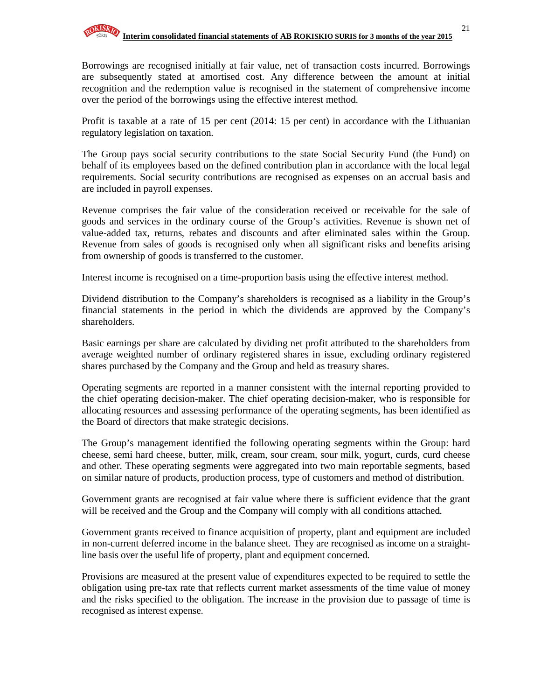Borrowings are recognised initially at fair value, net of transaction costs incurred. Borrowings are subsequently stated at amortised cost. Any difference between the amount at initial recognition and the redemption value is recognised in the statement of comprehensive income over the period of the borrowings using the effective interest method.

Profit is taxable at a rate of 15 per cent (2014: 15 per cent) in accordance with the Lithuanian regulatory legislation on taxation.

The Group pays social security contributions to the state Social Security Fund (the Fund) on behalf of its employees based on the defined contribution plan in accordance with the local legal requirements. Social security contributions are recognised as expenses on an accrual basis and are included in payroll expenses.

Revenue comprises the fair value of the consideration received or receivable for the sale of goods and services in the ordinary course of the Group's activities. Revenue is shown net of value-added tax, returns, rebates and discounts and after eliminated sales within the Group. Revenue from sales of goods is recognised only when all significant risks and benefits arising from ownership of goods is transferred to the customer.

Interest income is recognised on a time-proportion basis using the effective interest method.

Dividend distribution to the Company's shareholders is recognised as a liability in the Group's financial statements in the period in which the dividends are approved by the Company's shareholders.

Basic earnings per share are calculated by dividing net profit attributed to the shareholders from average weighted number of ordinary registered shares in issue, excluding ordinary registered shares purchased by the Company and the Group and held as treasury shares.

Operating segments are reported in a manner consistent with the internal reporting provided to the chief operating decision-maker. The chief operating decision-maker, who is responsible for allocating resources and assessing performance of the operating segments, has been identified as the Board of directors that make strategic decisions.

The Group's management identified the following operating segments within the Group: hard cheese, semi hard cheese, butter, milk, cream, sour cream, sour milk, yogurt, curds, curd cheese and other. These operating segments were aggregated into two main reportable segments, based on similar nature of products, production process, type of customers and method of distribution.

Government grants are recognised at fair value where there is sufficient evidence that the grant will be received and the Group and the Company will comply with all conditions attached.

Government grants received to finance acquisition of property, plant and equipment are included in non-current deferred income in the balance sheet. They are recognised as income on a straightline basis over the useful life of property, plant and equipment concerned.

Provisions are measured at the present value of expenditures expected to be required to settle the obligation using pre-tax rate that reflects current market assessments of the time value of money and the risks specified to the obligation. The increase in the provision due to passage of time is recognised as interest expense.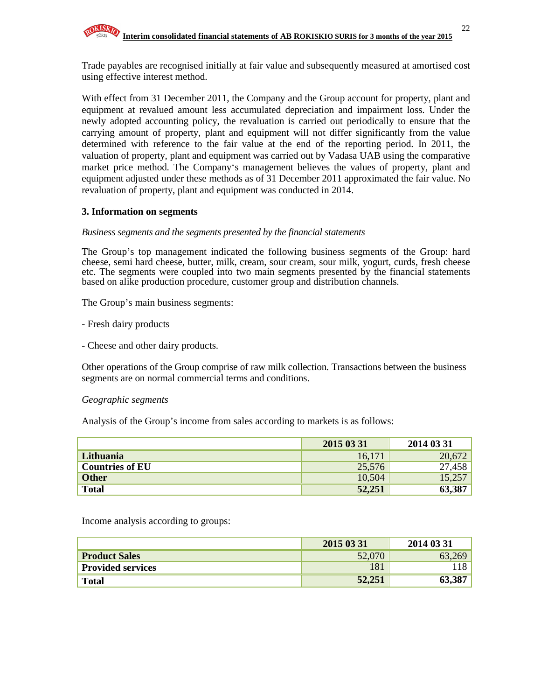

Trade payables are recognised initially at fair value and subsequently measured at amortised cost using effective interest method.

With effect from 31 December 2011, the Company and the Group account for property, plant and equipment at revalued amount less accumulated depreciation and impairment loss. Under the newly adopted accounting policy, the revaluation is carried out periodically to ensure that the carrying amount of property, plant and equipment will not differ significantly from the value determined with reference to the fair value at the end of the reporting period. In 2011, the valuation of property, plant and equipment was carried out by Vadasa UAB using the comparative market price method. The Company's management believes the values of property, plant and equipment adjusted under these methods as of 31 December 2011 approximated the fair value. No revaluation of property, plant and equipment was conducted in 2014.

### **3. Information on segments**

#### *Business segments and the segments presented by the financial statements*

The Group's top management indicated the following business segments of the Group: hard cheese, semi hard cheese, butter, milk, cream, sour cream, sour milk, yogurt, curds, fresh cheese etc. The segments were coupled into two main segments presented by the financial statements based on alike production procedure, customer group and distribution channels.

The Group's main business segments:

- Fresh dairy products

- Cheese and other dairy products.

Other operations of the Group comprise of raw milk collection. Transactions between the business segments are on normal commercial terms and conditions.

#### *Geographic segments*

Analysis of the Group's income from sales according to markets is as follows:

|                        | 2015 03 31 | 2014 03 31 |
|------------------------|------------|------------|
| Lithuania              | 16,171     | 20,672     |
| <b>Countries of EU</b> | 25,576     | 27,458     |
| <b>Other</b>           | 10,504     | 15,257     |
| <b>Total</b>           | 52,251     |            |

Income analysis according to groups:

|                          | 2015 03 31 | 2014 03 31 |
|--------------------------|------------|------------|
| <b>Product Sales</b>     | 52,070     | 63,269     |
| <b>Provided services</b> | 181        | 118        |
| <b>Total</b>             | 52,251     | 63,387     |